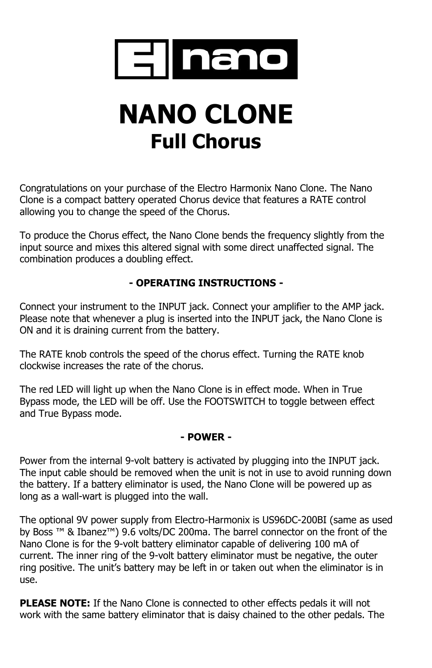

# **NANO CLONE Full Chorus**

Congratulations on your purchase of the Electro Harmonix Nano Clone. The Nano Clone is a compact battery operated Chorus device that features a RATE control allowing you to change the speed of the Chorus.

To produce the Chorus effect, the Nano Clone bends the frequency slightly from the input source and mixes this altered signal with some direct unaffected signal. The combination produces a doubling effect.

# **- OPERATING INSTRUCTIONS -**

Connect your instrument to the INPUT jack. Connect your amplifier to the AMP jack. Please note that whenever a plug is inserted into the INPUT jack, the Nano Clone is ON and it is draining current from the battery.

The RATE knob controls the speed of the chorus effect. Turning the RATE knob clockwise increases the rate of the chorus.

The red LED will light up when the Nano Clone is in effect mode. When in True Bypass mode, the LED will be off. Use the FOOTSWITCH to toggle between effect and True Bypass mode.

### **- POWER -**

Power from the internal 9-volt battery is activated by plugging into the INPUT jack. The input cable should be removed when the unit is not in use to avoid running down the battery. If a battery eliminator is used, the Nano Clone will be powered up as long as a wall-wart is plugged into the wall.

The optional 9V power supply from Electro-Harmonix is US96DC-200BI (same as used by Boss ™ & Ibanez™) 9.6 volts/DC 200ma. The barrel connector on the front of the Nano Clone is for the 9-volt battery eliminator capable of delivering 100 mA of current. The inner ring of the 9-volt battery eliminator must be negative, the outer ring positive. The unit's battery may be left in or taken out when the eliminator is in use.

**PLEASE NOTE:** If the Nano Clone is connected to other effects pedals it will not work with the same battery eliminator that is daisy chained to the other pedals. The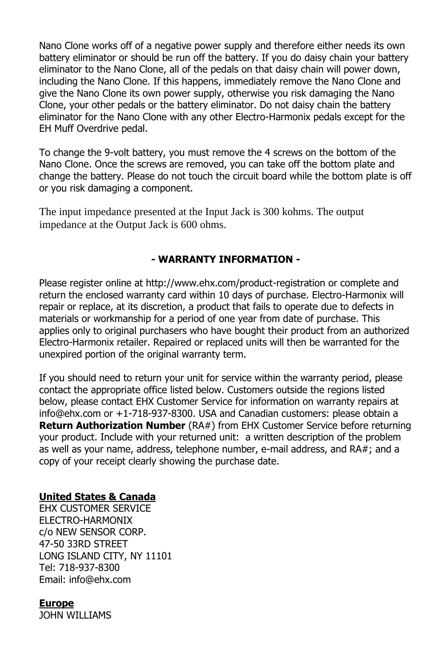Nano Clone works off of a negative power supply and therefore either needs its own battery eliminator or should be run off the battery. If you do daisy chain your battery eliminator to the Nano Clone, all of the pedals on that daisy chain will power down, including the Nano Clone. If this happens, immediately remove the Nano Clone and give the Nano Clone its own power supply, otherwise you risk damaging the Nano Clone, your other pedals or the battery eliminator. Do not daisy chain the battery eliminator for the Nano Clone with any other Electro-Harmonix pedals except for the EH Muff Overdrive pedal.

To change the 9-volt battery, you must remove the 4 screws on the bottom of the Nano Clone. Once the screws are removed, you can take off the bottom plate and change the battery. Please do not touch the circuit board while the bottom plate is off or you risk damaging a component.

The input impedance presented at the Input Jack is 300 kohms. The output impedance at the Output Jack is 600 ohms.

### **- WARRANTY INFORMATION -**

Please register online at http://www.ehx.com/product-registration or complete and return the enclosed warranty card within 10 days of purchase. Electro-Harmonix will repair or replace, at its discretion, a product that fails to operate due to defects in materials or workmanship for a period of one year from date of purchase. This applies only to original purchasers who have bought their product from an authorized Electro-Harmonix retailer. Repaired or replaced units will then be warranted for the unexpired portion of the original warranty term.

If you should need to return your unit for service within the warranty period, please contact the appropriate office listed below. Customers outside the regions listed below, please contact EHX Customer Service for information on warranty repairs at info@ehx.com or +1-718-937-8300. USA and Canadian customers: please obtain a **Return Authorization Number** (RA#) from EHX Customer Service before returning your product. Include with your returned unit: a written description of the problem as well as your name, address, telephone number, e-mail address, and RA#; and a copy of your receipt clearly showing the purchase date.

#### **United States & Canada**

EHX CUSTOMER SERVICE ELECTRO-HARMONIX c/o NEW SENSOR CORP. 47-50 33RD STREET LONG ISLAND CITY, NY 11101 Tel: 718-937-8300 Email: info@ehx.com

**Europe** JOHN WILLIAMS